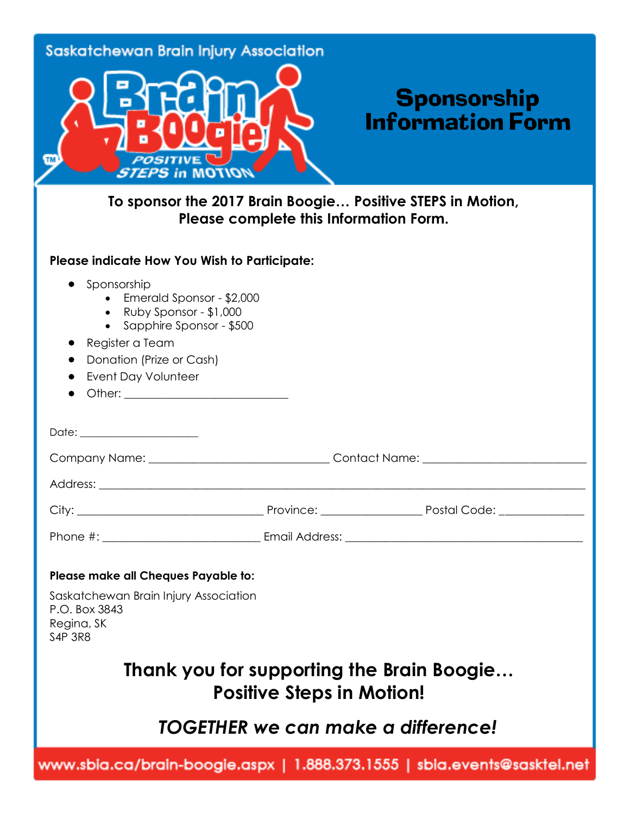| <b>Saskatchewan Brain Injury Association</b><br><b>POSITIVE</b><br><b>TM</b><br><b>STEPS in MOTION</b>                                                                                                                   |                                  | <b>Sponsorship</b><br><b>Information Form</b>                                   |
|--------------------------------------------------------------------------------------------------------------------------------------------------------------------------------------------------------------------------|----------------------------------|---------------------------------------------------------------------------------|
| To sponsor the 2017 Brain Boogie Positive STEPS in Motion,<br>Please complete this Information Form.                                                                                                                     |                                  |                                                                                 |
| Please indicate How You Wish to Participate:<br>Sponsorship<br>Emerald Sponsor - \$2,000<br>• Ruby Sponsor - \$1,000<br>• Sapphire Sponsor - \$500<br>Register a Team<br>Donation (Prize or Cash)<br>Event Day Volunteer |                                  |                                                                                 |
|                                                                                                                                                                                                                          |                                  |                                                                                 |
|                                                                                                                                                                                                                          |                                  | Contact Name: _______________                                                   |
| Address:                                                                                                                                                                                                                 |                                  |                                                                                 |
|                                                                                                                                                                                                                          |                                  |                                                                                 |
|                                                                                                                                                                                                                          |                                  |                                                                                 |
| Please make all Cheques Payable to:<br>Saskatchewan Brain Injury Association<br>P.O. Box 3843<br>Regina, SK<br><b>S4P 3R8</b>                                                                                            | <b>Positive Steps in Motion!</b> | Thank you for supporting the Brain Boogie<br>TOGETHER we can make a difference! |
| www.sbia.ca/brain-boogie.aspx   1.888.373.1555   sbia.events@sasktel.net                                                                                                                                                 |                                  |                                                                                 |
|                                                                                                                                                                                                                          |                                  |                                                                                 |